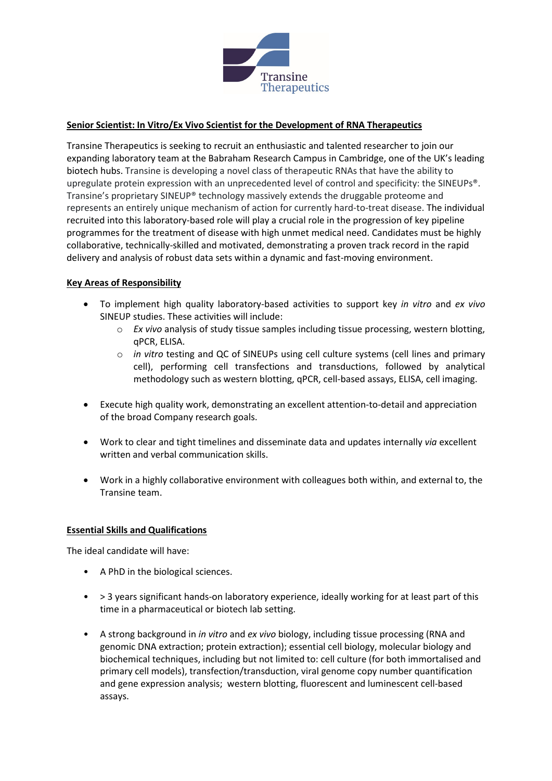

## **Senior Scientist: In Vitro/Ex Vivo Scientist for the Development of RNA Therapeutics**

Transine Therapeutics is seeking to recruit an enthusiastic and talented researcher to join our expanding laboratory team at the Babraham Research Campus in Cambridge, one of the UK's leading biotech hubs. Transine is developing a novel class of therapeutic RNAs that have the ability to upregulate protein expression with an unprecedented level of control and specificity: the SINEUPs®. Transine's proprietary SINEUP® technology massively extends the druggable proteome and represents an entirely unique mechanism of action for currently hard-to-treat disease. The individual recruited into this laboratory-based role will play a crucial role in the progression of key pipeline programmes for the treatment of disease with high unmet medical need. Candidates must be highly collaborative, technically-skilled and motivated, demonstrating a proven track record in the rapid delivery and analysis of robust data sets within a dynamic and fast-moving environment.

## **Key Areas of Responsibility**

- To implement high quality laboratory-based activities to support key *in vitro* and *ex vivo*  SINEUP studies. These activities will include:
	- o *Ex vivo* analysis of study tissue samples including tissue processing, western blotting, qPCR, ELISA.
	- o *in vitro* testing and QC of SINEUPs using cell culture systems (cell lines and primary cell), performing cell transfections and transductions, followed by analytical methodology such as western blotting, qPCR, cell-based assays, ELISA, cell imaging.
- Execute high quality work, demonstrating an excellent attention-to-detail and appreciation of the broad Company research goals.
- Work to clear and tight timelines and disseminate data and updates internally *via* excellent written and verbal communication skills.
- Work in a highly collaborative environment with colleagues both within, and external to, the Transine team.

## **Essential Skills and Qualifications**

The ideal candidate will have:

- A PhD in the biological sciences.
- > 3 years significant hands-on laboratory experience, ideally working for at least part of this time in a pharmaceutical or biotech lab setting.
- A strong background in *in vitro* and *ex vivo* biology, including tissue processing (RNA and genomic DNA extraction; protein extraction); essential cell biology, molecular biology and biochemical techniques, including but not limited to: cell culture (for both immortalised and primary cell models), transfection/transduction, viral genome copy number quantification and gene expression analysis; western blotting, fluorescent and luminescent cell-based assays.